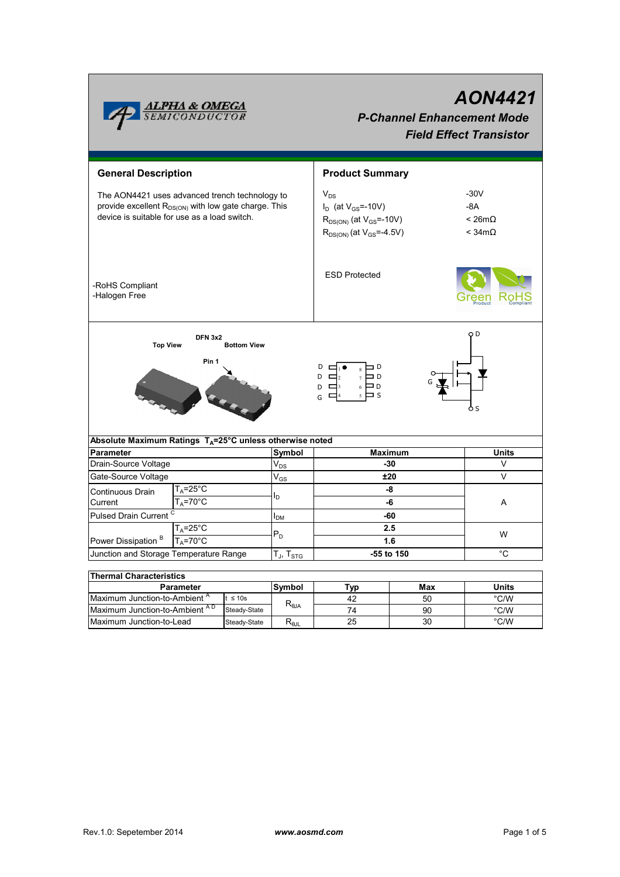|                                                                                                                                                                    | <u>ALFHA &amp; OMEGA</u><br>SEMICONDUCTOR |                    |                                      | <b>AON4421</b><br><b>P-Channel Enhancement Mode</b><br><b>Field Effect Transistor</b>                            |                         |                                                       |  |  |  |
|--------------------------------------------------------------------------------------------------------------------------------------------------------------------|-------------------------------------------|--------------------|--------------------------------------|------------------------------------------------------------------------------------------------------------------|-------------------------|-------------------------------------------------------|--|--|--|
| <b>General Description</b>                                                                                                                                         |                                           |                    |                                      | <b>Product Summary</b>                                                                                           |                         |                                                       |  |  |  |
| The AON4421 uses advanced trench technology to<br>provide excellent R <sub>DS(ON)</sub> with low gate charge. This<br>device is suitable for use as a load switch. |                                           |                    |                                      | $V_{DS}$<br>$I_D$ (at $V_{GS}$ =-10V)<br>$R_{DS(ON)}$ (at $V_{GS}$ =-10V)<br>$R_{DS(ON)}$ (at $V_{GS} = -4.5V$ ) |                         | $-30V$<br>$-8A$<br>< 26m $\Omega$<br>$<$ 34m $\Omega$ |  |  |  |
| -RoHS Compliant<br>-Halogen Free                                                                                                                                   |                                           |                    |                                      | <b>ESD Protected</b>                                                                                             |                         |                                                       |  |  |  |
| <b>Top View</b><br>Absolute Maximum Ratings $T_A = 25^\circ \text{C}$ unless otherwise noted                                                                       | <b>DFN 3x2</b><br>Pin 1                   | <b>Bottom View</b> |                                      | D<br>⊐D<br>D<br>$\Box$ <sub>2</sub><br>⊐D<br>6<br>D<br>$\Box$ 3<br>ם כ<br>G                                      |                         | O D                                                   |  |  |  |
|                                                                                                                                                                    |                                           |                    |                                      |                                                                                                                  |                         | <b>Units</b>                                          |  |  |  |
| <b>Parameter</b><br>Drain-Source Voltage                                                                                                                           |                                           |                    | Symbol<br>$\mathsf{V}_{\mathsf{DS}}$ |                                                                                                                  | <b>Maximum</b><br>$-30$ | V                                                     |  |  |  |
| Gate-Source Voltage                                                                                                                                                |                                           |                    | $V_{GS}$                             | ±20                                                                                                              | $\vee$                  |                                                       |  |  |  |
| $T_A = 25$ °C                                                                                                                                                      |                                           |                    |                                      |                                                                                                                  |                         |                                                       |  |  |  |
| Continuous Drain<br>Current                                                                                                                                        | $T_A = 70$ °C                             |                    |                                      | -8<br>-6                                                                                                         |                         | A                                                     |  |  |  |
|                                                                                                                                                                    |                                           |                    |                                      | -60                                                                                                              |                         |                                                       |  |  |  |
| Pulsed Drain Current <sup>C</sup>                                                                                                                                  |                                           |                    | I <sub>DM</sub>                      |                                                                                                                  |                         |                                                       |  |  |  |
| T <sub>A</sub> =25°C                                                                                                                                               |                                           |                    | $P_D$                                | 2.5<br>1.6                                                                                                       |                         | W                                                     |  |  |  |
| Power Dissipation <sup>B</sup><br>$T_A = 70$ °C                                                                                                                    |                                           |                    |                                      |                                                                                                                  |                         |                                                       |  |  |  |
| Junction and Storage Temperature Range                                                                                                                             |                                           |                    | $T_J$ , $T_{STG}$                    | °C<br>-55 to 150                                                                                                 |                         |                                                       |  |  |  |
| <b>Thermal Characteristics</b>                                                                                                                                     |                                           |                    |                                      |                                                                                                                  |                         |                                                       |  |  |  |
| Parameter                                                                                                                                                          |                                           |                    | Symbol                               | Typ                                                                                                              | Max                     | Units                                                 |  |  |  |
| Maximum Junction-to-Ambient <sup>A</sup>                                                                                                                           |                                           | $t \leq 10s$       |                                      | 42                                                                                                               | 50                      | °C/W                                                  |  |  |  |
| Maximum Junction-to-Ambient AD                                                                                                                                     |                                           | Steady-State       | $R_{0,IA}$                           | 74                                                                                                               | 90                      | °C/W                                                  |  |  |  |
|                                                                                                                                                                    | Maximum Junction-to-Lead                  |                    | $R_{\theta$ JL                       | 25                                                                                                               | 30                      | °C/W                                                  |  |  |  |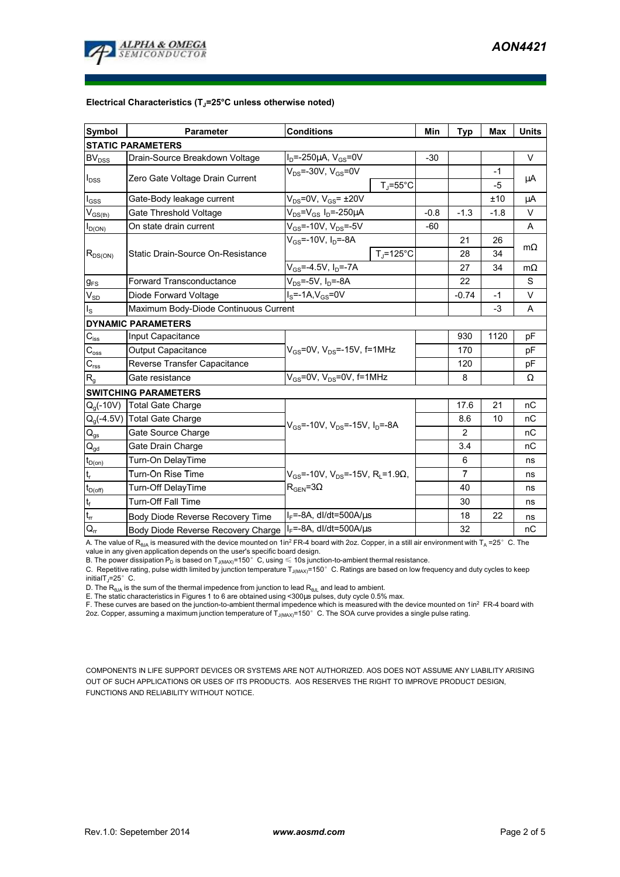

## **Electrical Characteristics (TJ=25°C unless otherwise noted)**

| Symbol                                  | <b>Conditions</b><br><b>Parameter</b>                                        |                                                                |                    | Min    | <b>Typ</b>     | <b>Max</b> | <b>Units</b> |  |  |  |  |  |
|-----------------------------------------|------------------------------------------------------------------------------|----------------------------------------------------------------|--------------------|--------|----------------|------------|--------------|--|--|--|--|--|
| <b>STATIC PARAMETERS</b>                |                                                                              |                                                                |                    |        |                |            |              |  |  |  |  |  |
| BV <sub>DSS</sub>                       | Drain-Source Breakdown Voltage                                               | $I_D$ =-250µA, $V_{GS}$ =0V                                    |                    | $-30$  |                |            | $\vee$       |  |  |  |  |  |
| $I_{\text{DSS}}$                        | Zero Gate Voltage Drain Current                                              | $V_{DS}$ =-30V, $V_{GS}$ =0V                                   | $T_{\rm J}$ =55°C  |        |                | $-1$<br>-5 | μA           |  |  |  |  |  |
| $I_{\text{GSS}}$                        | Gate-Body leakage current                                                    | $V_{DS}$ =0V, $V_{GS}$ = ±20V                                  |                    |        |                | ±10        | μA           |  |  |  |  |  |
| $\mathsf{V}_{\mathsf{GS}(\mathsf{th})}$ | Gate Threshold Voltage                                                       | $V_{DS} = V_{GS} I_D = -250 \mu A$                             |                    | $-0.8$ | $-1.3$         | $-1.8$     | $\vee$       |  |  |  |  |  |
| $I_{D(ON)}$                             | On state drain current                                                       | $V_{GS}$ =-10V, $V_{DS}$ =-5V                                  |                    | $-60$  |                |            | A            |  |  |  |  |  |
| $R_{DS(ON)}$                            |                                                                              | $V_{GS}$ =-10V, $I_{D}$ =-8A                                   |                    |        | 21             | 26         | $m\Omega$    |  |  |  |  |  |
|                                         | Static Drain-Source On-Resistance                                            |                                                                | $T_{\rm J}$ =125°C |        | 28             | 34         |              |  |  |  |  |  |
|                                         |                                                                              | $V_{GS} = -4.5V$ , $I_D = -7A$                                 |                    |        | 27             | 34         | $m\Omega$    |  |  |  |  |  |
| <b>g</b> <sub>FS</sub>                  | $V_{DS}$ =-5V, $I_D$ =-8A<br><b>Forward Transconductance</b>                 |                                                                |                    |        | 22             |            | S            |  |  |  |  |  |
| $V_{SD}$                                | Diode Forward Voltage                                                        | $IS=-1A, VGS=0V$                                               |                    |        | $-0.74$        | -1         | V            |  |  |  |  |  |
| $I_{\rm S}$                             | Maximum Body-Diode Continuous Current                                        |                                                                |                    | $-3$   | A              |            |              |  |  |  |  |  |
|                                         | <b>DYNAMIC PARAMETERS</b>                                                    |                                                                |                    |        |                |            |              |  |  |  |  |  |
| $\overline{C_{\rm iss}}$                | Input Capacitance                                                            |                                                                |                    |        | 930            | 1120       | pF           |  |  |  |  |  |
| $C_{\rm oss}$                           | <b>Output Capacitance</b>                                                    | $V_{GS}$ =0V, $V_{DS}$ =-15V, f=1MHz                           |                    |        | 170            |            | pF           |  |  |  |  |  |
| $C_{\rm rss}$                           | Reverse Transfer Capacitance                                                 |                                                                |                    |        | 120            |            | рF           |  |  |  |  |  |
| $R_{q}$                                 | Gate resistance                                                              | $V_{GS}$ =0V, $V_{DS}$ =0V, f=1MHz                             |                    |        | 8              |            | Ω            |  |  |  |  |  |
|                                         | <b>SWITCHING PARAMETERS</b>                                                  |                                                                |                    |        |                |            |              |  |  |  |  |  |
| $Q_q(-10V)$                             | <b>Total Gate Charge</b>                                                     | $V_{GS}$ =-10V, $V_{DS}$ =-15V, $I_D$ =-8A                     |                    |        | 17.6           | 21         | nC           |  |  |  |  |  |
| $Q_0(-4.5V)$                            | <b>Total Gate Charge</b>                                                     |                                                                |                    |        | 8.6            | 10         | nC           |  |  |  |  |  |
| $\mathsf{Q}_{\text{gs}}$                | Gate Source Charge                                                           |                                                                |                    |        | 2              |            | пC           |  |  |  |  |  |
| $Q_{gd}$                                | Gate Drain Charge                                                            |                                                                |                    |        | 3.4            |            | nC           |  |  |  |  |  |
| $t_{D(0n)}$                             | Turn-On DelayTime                                                            |                                                                |                    |        | 6              |            | ns           |  |  |  |  |  |
| $\mathfrak{t}_{\sf r}$                  | Turn-On Rise Time                                                            | $V_{GS}$ =-10V, $V_{DS}$ =-15V, R <sub>i</sub> =1.9 $\Omega$ , |                    |        | $\overline{7}$ |            | ns           |  |  |  |  |  |
| $t_{D(\text{off})}$                     | Turn-Off DelayTime                                                           | $R_{\text{GEN}} = 3\Omega$                                     |                    |        | 40             |            | ns           |  |  |  |  |  |
| $t_f$                                   | <b>Turn-Off Fall Time</b>                                                    |                                                                |                    | 30     |                | ns         |              |  |  |  |  |  |
| $t_{rr}$                                | Body Diode Reverse Recovery Time                                             | $I_F$ =-8A, dl/dt=500A/ $\mu$ s                                |                    |        | 18             | 22         | ns           |  |  |  |  |  |
| $\mathsf{Q}_{\mathsf{rr}}$              | $I_F$ =-8A, dl/dt=500A/ $\mu$ s<br><b>Body Diode Reverse Recovery Charge</b> |                                                                |                    |        | 32             |            | nC           |  |  |  |  |  |

A. The value of R<sub>θJA</sub> is measured with the device mounted on 1in<sup>2</sup> FR-4 board with 2oz. Copper, in a still air environment with T<sub>A</sub> =25°C. The

value in any given application depends on the user's specific board design.<br>B. The power dissipation P<sub>D</sub> is based on T<sub>J(MAX)</sub>=150°C, using ≤ 10s junction-to-ambient thermal resistance.

C. Repetitive rating, pulse width limited by junction temperature  $T_{\rm J(MAX)}$ =150°C. Ratings are based on low frequency and duty cycles to keep initialT $_J=25^\circ$  C.

D. The  $R_{AJA}$  is the sum of the thermal impedence from junction to lead  $R_{AJI}$  and lead to ambient.

E. The static characteristics in Figures 1 to 6 are obtained using <300μs pulses, duty cycle 0.5% max.

F. These curves are based on the junction-to-ambient thermal impedence which is measured with the device mounted on 1in<sup>2</sup> FR-4 board with 2oz. Copper, assuming a maximum junction temperature of  $T_{J(MAX)}$ =150°C. The SOA curve provides a single pulse rating.

COMPONENTS IN LIFE SUPPORT DEVICES OR SYSTEMS ARE NOT AUTHORIZED. AOS DOES NOT ASSUME ANY LIABILITY ARISING OUT OF SUCH APPLICATIONS OR USES OF ITS PRODUCTS. AOS RESERVES THE RIGHT TO IMPROVE PRODUCT DESIGN, FUNCTIONS AND RELIABILITY WITHOUT NOTICE.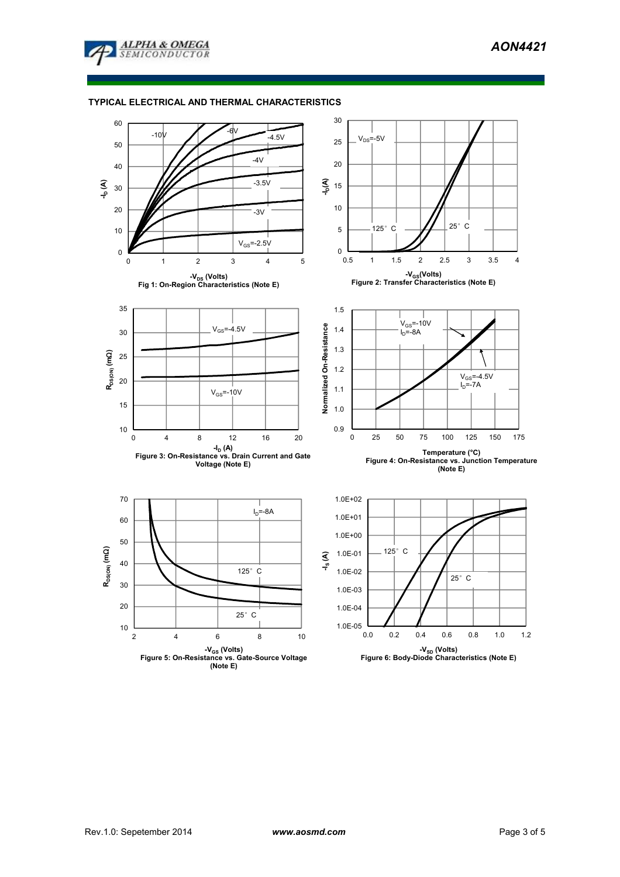

## **TYPICAL ELECTRICAL AND THERMAL CHARACTERISTICS**

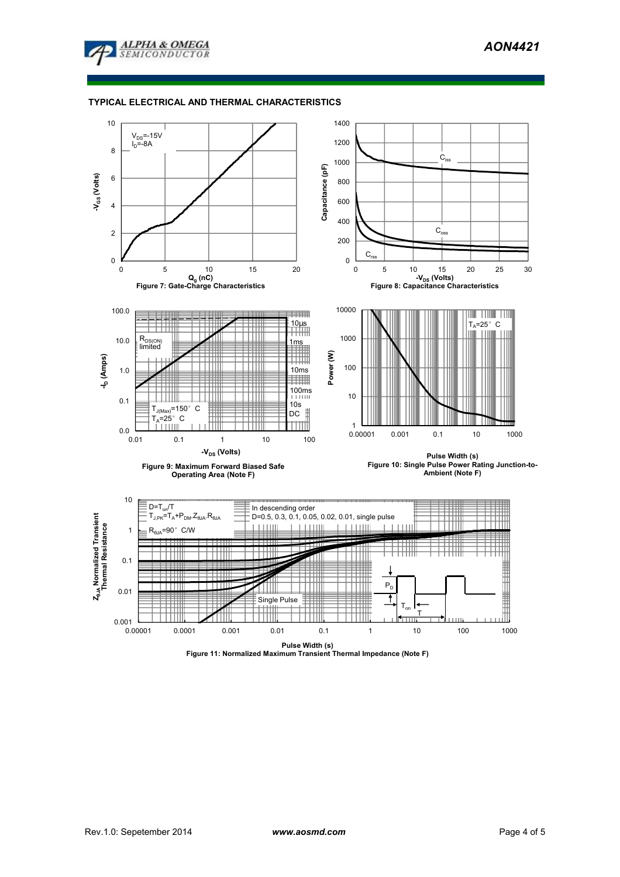

## **TYPICAL ELECTRICAL AND THERMAL CHARACTERISTICS**